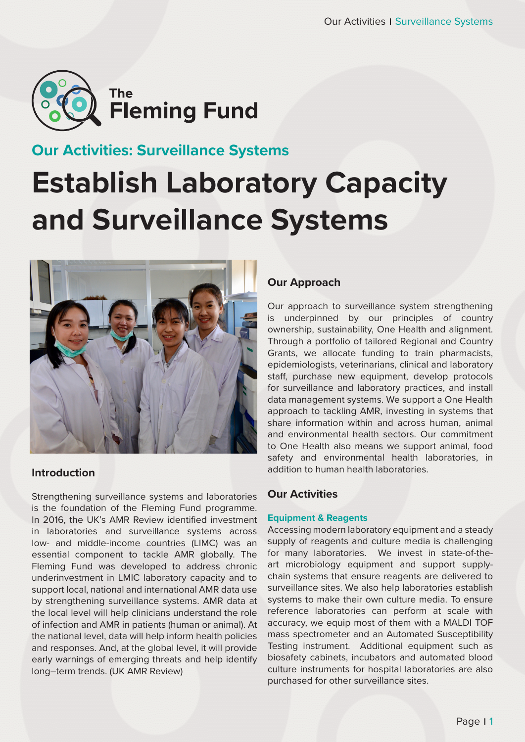

# **Our Activities: Surveillance Systems**

# **Establish Laboratory Capacity and Surveillance Systems**



# **Introduction**

Strengthening surveillance systems and laboratories is the foundation of the Fleming Fund programme. In 2016, the UK's AMR Review identified investment in laboratories and surveillance systems across low- and middle-income countries (LIMC) was an essential component to tackle AMR globally. The Fleming Fund was developed to address chronic underinvestment in LMIC laboratory capacity and to support local, national and international AMR data use by strengthening surveillance systems. AMR data at the local level will help clinicians understand the role of infection and AMR in patients (human or animal). At the national level, data will help inform health policies and responses. And, at the global level, it will provide early warnings of emerging threats and help identify long–term trends. (UK AMR Review)

## **Our Approach**

Our approach to surveillance system strengthening is underpinned by our principles of country ownership, sustainability, One Health and alignment. Through a portfolio of tailored Regional and Country Grants, we allocate funding to train pharmacists, epidemiologists, veterinarians, clinical and laboratory staff, purchase new equipment, develop protocols for surveillance and laboratory practices, and install data management systems. We support a One Health approach to tackling AMR, investing in systems that share information within and across human, animal and environmental health sectors. Our commitment to One Health also means we support animal, food safety and environmental health laboratories, in addition to human health laboratories.

## **Our Activities**

#### **Equipment & Reagents**

Accessing modern laboratory equipment and a steady supply of reagents and culture media is challenging for many laboratories. We invest in state-of-theart microbiology equipment and support supplychain systems that ensure reagents are delivered to surveillance sites. We also help laboratories establish systems to make their own culture media. To ensure reference laboratories can perform at scale with accuracy, we equip most of them with a MALDI TOF mass spectrometer and an Automated Susceptibility Testing instrument. Additional equipment such as biosafety cabinets, incubators and automated blood culture instruments for hospital laboratories are also purchased for other surveillance sites.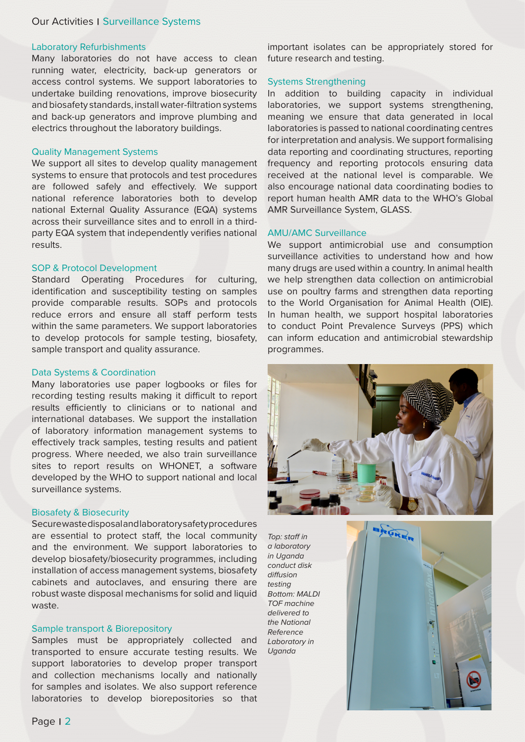#### **Our Activities | Surveillance Systems**

#### Laboratory Refurbishments

Many laboratories do not have access to clean running water, electricity, back-up generators or access control systems. We support laboratories to undertake building renovations, improve biosecurity and biosafety standards, install water-filtration systems and back-up generators and improve plumbing and electrics throughout the laboratory buildings.

#### Quality Management Systems

We support all sites to develop quality management systems to ensure that protocols and test procedures are followed safely and effectively. We support national reference laboratories both to develop national External Quality Assurance (EQA) systems across their surveillance sites and to enroll in a thirdparty EQA system that independently verifies national results.

#### SOP & Protocol Development

Standard Operating Procedures for culturing, identification and susceptibility testing on samples provide comparable results. SOPs and protocols reduce errors and ensure all staff perform tests within the same parameters. We support laboratories to develop protocols for sample testing, biosafety, sample transport and quality assurance.

#### Data Systems & Coordination

Many laboratories use paper logbooks or files for recording testing results making it difficult to report results efficiently to clinicians or to national and international databases. We support the installation of laboratory information management systems to effectively track samples, testing results and patient progress. Where needed, we also train surveillance sites to report results on WHONET, a software developed by the WHO to support national and local surveillance systems.

#### Biosafety & Biosecurity

Secure waste disposal and laboratory safety procedures are essential to protect staff, the local community and the environment. We support laboratories to develop biosafety/biosecurity programmes, including installation of access management systems, biosafety cabinets and autoclaves, and ensuring there are robust waste disposal mechanisms for solid and liquid waste.

#### Sample transport & Biorepository

Samples must be appropriately collected and transported to ensure accurate testing results. We support laboratories to develop proper transport and collection mechanisms locally and nationally for samples and isolates. We also support reference laboratories to develop biorepositories so that important isolates can be appropriately stored for future research and testing.

#### Systems Strengthening

In addition to building capacity in individual laboratories, we support systems strengthening, meaning we ensure that data generated in local laboratories is passed to national coordinating centres for interpretation and analysis. We support formalising data reporting and coordinating structures, reporting frequency and reporting protocols ensuring data received at the national level is comparable. We also encourage national data coordinating bodies to report human health AMR data to the WHO's Global AMR Surveillance System, GLASS.

#### AMU/AMC Surveillance

We support antimicrobial use and consumption surveillance activities to understand how and how many drugs are used within a country. In animal health we help strengthen data collection on antimicrobial use on poultry farms and strengthen data reporting to the World Organisation for Animal Health (OIE). In human health, we support hospital laboratories to conduct Point Prevalence Surveys (PPS) which can inform education and antimicrobial stewardship programmes.



*Top: staff in a laboratory in Uganda conduct disk diffusion testing Bottom: MALDI TOF machine delivered to the National Reference Laboratory in Uganda*